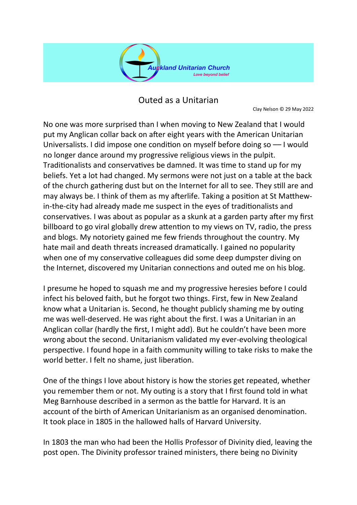

Outed as a Unitarian

Clay Nelson © 29 May 2022

No one was more surprised than I when moving to New Zealand that I would put my Anglican collar back on after eight years with the American Unitarian Universalists. I did impose one condition on myself before doing so –– I would no longer dance around my progressive religious views in the pulpit. Traditionalists and conservatives be damned. It was time to stand up for my beliefs. Yet a lot had changed. My sermons were not just on a table at the back of the church gathering dust but on the Internet for all to see. They still are and may always be. I think of them as my afterlife. Taking a position at St Matthewin-the-city had already made me suspect in the eyes of traditionalists and conservatives. I was about as popular as a skunk at a garden party after my first billboard to go viral globally drew attention to my views on TV, radio, the press and blogs. My notoriety gained me few friends throughout the country. My hate mail and death threats increased dramatically. I gained no popularity when one of my conservative colleagues did some deep dumpster diving on the Internet, discovered my Unitarian connections and outed me on his blog.

I presume he hoped to squash me and my progressive heresies before I could infect his beloved faith, but he forgot two things. First, few in New Zealand know what a Unitarian is. Second, he thought publicly shaming me by outing me was well-deserved. He was right about the first. I was a Unitarian in an Anglican collar (hardly the first, I might add). But he couldn't have been more wrong about the second. Unitarianism validated my ever-evolving theological perspective. I found hope in a faith community willing to take risks to make the world better. I felt no shame, just liberation.

One of the things I love about history is how the stories get repeated, whether you remember them or not. My outing is a story that I first found told in what Meg Barnhouse described in a sermon as the battle for Harvard. It is an account of the birth of American Unitarianism as an organised denomination. It took place in 1805 in the hallowed halls of Harvard University.

In 1803 the man who had been the Hollis Professor of Divinity died, leaving the post open. The Divinity professor trained ministers, there being no Divinity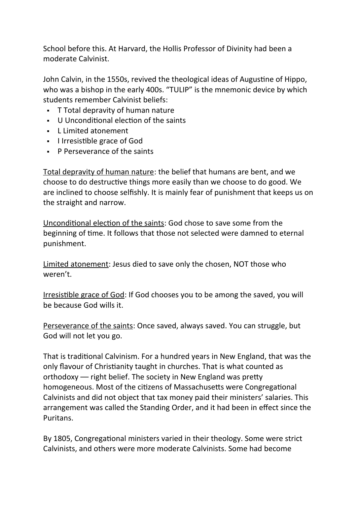School before this. At Harvard, the Hollis Professor of Divinity had been a moderate Calvinist.

John Calvin, in the 1550s, revived the theological ideas of Augustine of Hippo, who was a bishop in the early 400s. "TULIP" is the mnemonic device by which students remember Calvinist beliefs:

- T Total depravity of human nature
- U Unconditional election of the saints
- L Limited atonement
- **I** I Irresistible grace of God
- P Perseverance of the saints

Total depravity of human nature: the belief that humans are bent, and we choose to do destructive things more easily than we choose to do good. We are inclined to choose selfishly. It is mainly fear of punishment that keeps us on the straight and narrow.

Unconditional election of the saints: God chose to save some from the beginning of time. It follows that those not selected were damned to eternal punishment.

Limited atonement: Jesus died to save only the chosen, NOT those who weren't.

Irresistible grace of God: If God chooses you to be among the saved, you will be because God wills it.

Perseverance of the saints: Once saved, always saved. You can struggle, but God will not let you go.

That is traditional Calvinism. For a hundred years in New England, that was the only flavour of Christianity taught in churches. That is what counted as orthodoxy –– right belief. The society in New England was pretty homogeneous. Most of the citizens of Massachusetts were Congregational Calvinists and did not object that tax money paid their ministers' salaries. This arrangement was called the Standing Order, and it had been in effect since the Puritans.

By 1805, Congregational ministers varied in their theology. Some were strict Calvinists, and others were more moderate Calvinists. Some had become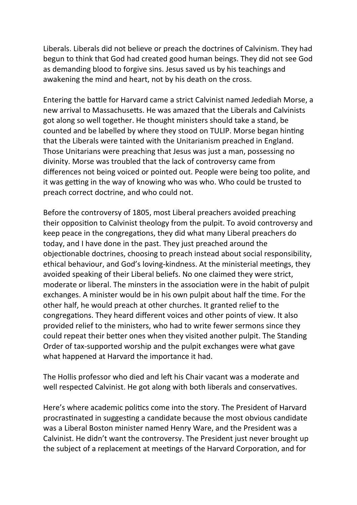Liberals. Liberals did not believe or preach the doctrines of Calvinism. They had begun to think that God had created good human beings. They did not see God as demanding blood to forgive sins. Jesus saved us by his teachings and awakening the mind and heart, not by his death on the cross.

Entering the battle for Harvard came a strict Calvinist named Jedediah Morse, a new arrival to Massachusetts. He was amazed that the Liberals and Calvinists got along so well together. He thought ministers should take a stand, be counted and be labelled by where they stood on TULIP. Morse began hinting that the Liberals were tainted with the Unitarianism preached in England. Those Unitarians were preaching that Jesus was just a man, possessing no divinity. Morse was troubled that the lack of controversy came from differences not being voiced or pointed out. People were being too polite, and it was getting in the way of knowing who was who. Who could be trusted to preach correct doctrine, and who could not.

Before the controversy of 1805, most Liberal preachers avoided preaching their opposition to Calvinist theology from the pulpit. To avoid controversy and keep peace in the congregations, they did what many Liberal preachers do today, and I have done in the past. They just preached around the objectionable doctrines, choosing to preach instead about social responsibility, ethical behaviour, and God's loving-kindness. At the ministerial meetings, they avoided speaking of their Liberal beliefs. No one claimed they were strict, moderate or liberal. The minsters in the association were in the habit of pulpit exchanges. A minister would be in his own pulpit about half the time. For the other half, he would preach at other churches. It granted relief to the congregations. They heard different voices and other points of view. It also provided relief to the ministers, who had to write fewer sermons since they could repeat their better ones when they visited another pulpit. The Standing Order of tax-supported worship and the pulpit exchanges were what gave what happened at Harvard the importance it had.

The Hollis professor who died and left his Chair vacant was a moderate and well respected Calvinist. He got along with both liberals and conservatives.

Here's where academic politics come into the story. The President of Harvard procrastinated in suggesting a candidate because the most obvious candidate was a Liberal Boston minister named Henry Ware, and the President was a Calvinist. He didn't want the controversy. The President just never brought up the subject of a replacement at meetings of the Harvard Corporation, and for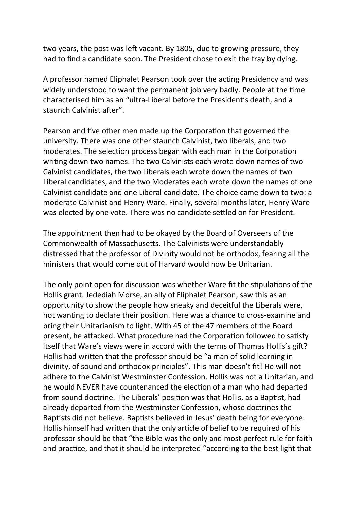two years, the post was left vacant. By 1805, due to growing pressure, they had to find a candidate soon. The President chose to exit the fray by dying.

A professor named Eliphalet Pearson took over the acting Presidency and was widely understood to want the permanent job very badly. People at the time characterised him as an "ultra-Liberal before the President's death, and a staunch Calvinist after".

Pearson and five other men made up the Corporation that governed the university. There was one other staunch Calvinist, two liberals, and two moderates. The selection process began with each man in the Corporation writing down two names. The two Calvinists each wrote down names of two Calvinist candidates, the two Liberals each wrote down the names of two Liberal candidates, and the two Moderates each wrote down the names of one Calvinist candidate and one Liberal candidate. The choice came down to two: a moderate Calvinist and Henry Ware. Finally, several months later, Henry Ware was elected by one vote. There was no candidate settled on for President.

The appointment then had to be okayed by the Board of Overseers of the Commonwealth of Massachusetts. The Calvinists were understandably distressed that the professor of Divinity would not be orthodox, fearing all the ministers that would come out of Harvard would now be Unitarian.

The only point open for discussion was whether Ware fit the stipulations of the Hollis grant. Jedediah Morse, an ally of Eliphalet Pearson, saw this as an opportunity to show the people how sneaky and deceitful the Liberals were, not wanting to declare their position. Here was a chance to cross-examine and bring their Unitarianism to light. With 45 of the 47 members of the Board present, he attacked. What procedure had the Corporation followed to satisfy itself that Ware's views were in accord with the terms of Thomas Hollis's gift? Hollis had written that the professor should be "a man of solid learning in divinity, of sound and orthodox principles". This man doesn't fit! He will not adhere to the Calvinist Westminster Confession. Hollis was not a Unitarian, and he would NEVER have countenanced the election of a man who had departed from sound doctrine. The Liberals' position was that Hollis, as a Baptist, had already departed from the Westminster Confession, whose doctrines the Baptists did not believe. Baptists believed in Jesus' death being for everyone. Hollis himself had written that the only article of belief to be required of his professor should be that "the Bible was the only and most perfect rule for faith and practice, and that it should be interpreted "according to the best light that